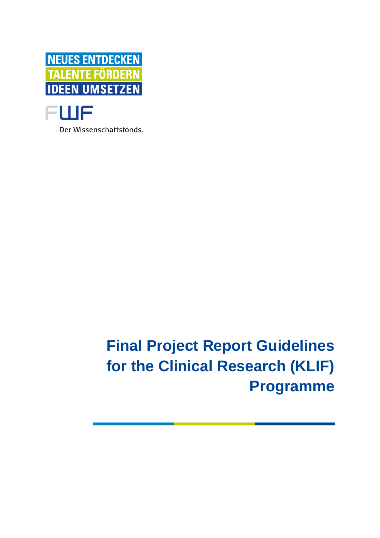



Der Wissenschaftsfonds.

# **Final Project Report Guidelines for the Clinical Research (KLIF) Programme**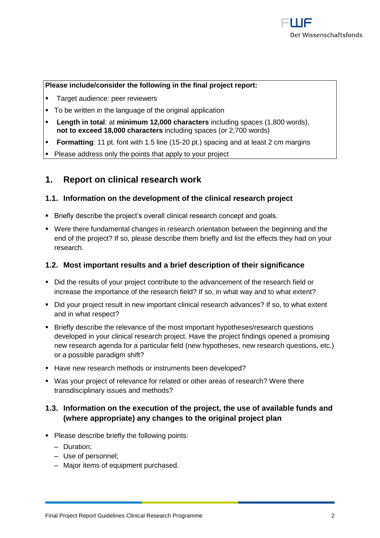#### **Please include/consider the following in the final project report:**

- Target audience: peer reviewers
- To be written in the language of the original application
- **Length in total: at minimum 12,000 characters** including spaces (1,800 words), **not to exceed 18,000 characters** including spaces (or 2,700 words)
- **Formatting**: 11 pt. font with 1.5 line (15-20 pt.) spacing and at least 2 cm margins
- Please address only the points that apply to your project

## **1. Report on clinical research work**

#### **1.1. Information on the development of the clinical research project**

- **EXECT:** Briefly describe the project's overall clinical research concept and goals.
- Were there fundamental changes in research orientation between the beginning and the end of the project? If so, please describe them briefly and list the effects they had on your research.

#### **1.2. Most important results and a brief description of their significance**

- Did the results of your project contribute to the advancement of the research field or increase the importance of the research field? If so, in what way and to what extent?
- Did your project result in new important clinical research advances? If so, to what extent and in what respect?
- Briefly describe the relevance of the most important hypotheses/research questions developed in your clinical research project. Have the project findings opened a promising new research agenda for a particular field (new hypotheses, new research questions, etc.) or a possible paradigm shift?
- Have new research methods or instruments been developed?
- Was your project of relevance for related or other areas of research? Were there transdisciplinary issues and methods?

### **1.3. Information on the execution of the project, the use of available funds and (where appropriate) any changes to the original project plan**

- Please describe briefly the following points:
	- ‒ Duration;
	- ‒ Use of personnel;
	- ‒ Major items of equipment purchased.